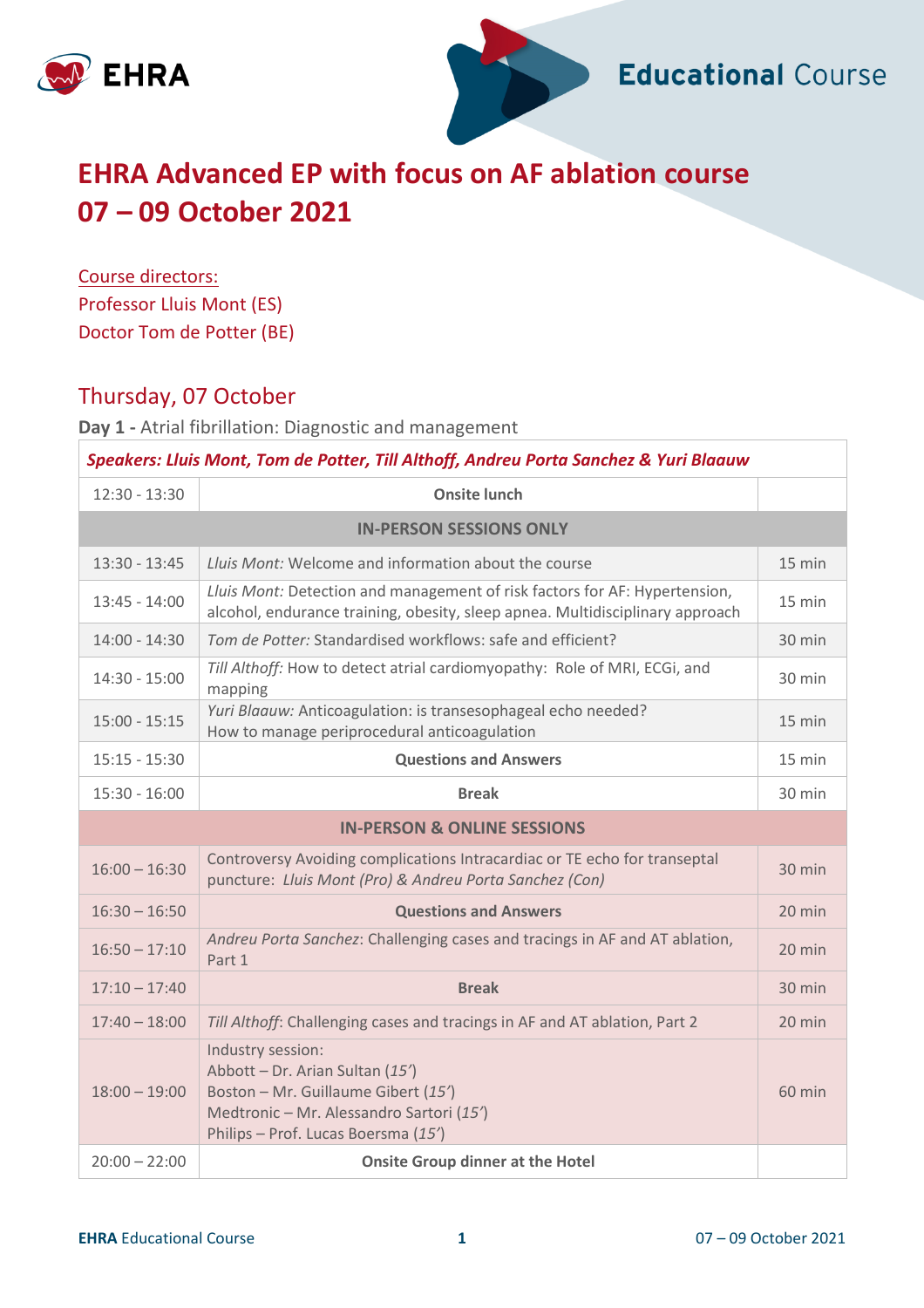



# **EHRA Advanced EP with focus on AF ablation course 07 – 09 October 2021**

Course directors: Professor Lluis Mont (ES) Doctor Tom de Potter (BE)

#### Thursday, 07 October

**Day 1 -** Atrial fibrillation: Diagnostic and management

| Speakers: Lluis Mont, Tom de Potter, Till Althoff, Andreu Porta Sanchez & Yuri Blaauw |                                                                                                                                                                                |                  |  |
|---------------------------------------------------------------------------------------|--------------------------------------------------------------------------------------------------------------------------------------------------------------------------------|------------------|--|
| $12:30 - 13:30$                                                                       | <b>Onsite lunch</b>                                                                                                                                                            |                  |  |
| <b>IN-PERSON SESSIONS ONLY</b>                                                        |                                                                                                                                                                                |                  |  |
| $13:30 - 13:45$                                                                       | Lluis Mont: Welcome and information about the course                                                                                                                           | 15 min           |  |
| $13:45 - 14:00$                                                                       | Lluis Mont: Detection and management of risk factors for AF: Hypertension,<br>alcohol, endurance training, obesity, sleep apnea. Multidisciplinary approach                    | 15 min           |  |
| $14:00 - 14:30$                                                                       | Tom de Potter: Standardised workflows: safe and efficient?                                                                                                                     | 30 min           |  |
| $14:30 - 15:00$                                                                       | Till Althoff: How to detect atrial cardiomyopathy: Role of MRI, ECGi, and<br>mapping                                                                                           | $30 \text{ min}$ |  |
| $15:00 - 15:15$                                                                       | Yuri Blaauw: Anticoagulation: is transesophageal echo needed?<br>How to manage periprocedural anticoagulation                                                                  | 15 min           |  |
| $15:15 - 15:30$                                                                       | <b>Questions and Answers</b>                                                                                                                                                   | 15 min           |  |
| $15:30 - 16:00$                                                                       | <b>Break</b>                                                                                                                                                                   | 30 min           |  |
| <b>IN-PERSON &amp; ONLINE SESSIONS</b>                                                |                                                                                                                                                                                |                  |  |
| $16:00 - 16:30$                                                                       | Controversy Avoiding complications Intracardiac or TE echo for transeptal<br>puncture: Lluis Mont (Pro) & Andreu Porta Sanchez (Con)                                           | 30 min           |  |
| $16:30 - 16:50$                                                                       | <b>Questions and Answers</b>                                                                                                                                                   | 20 min           |  |
| $16:50 - 17:10$                                                                       | Andreu Porta Sanchez: Challenging cases and tracings in AF and AT ablation,<br>Part 1                                                                                          | 20 min           |  |
| $17:10 - 17:40$                                                                       | <b>Break</b>                                                                                                                                                                   | 30 min           |  |
| $17:40 - 18:00$                                                                       | Till Althoff: Challenging cases and tracings in AF and AT ablation, Part 2                                                                                                     | 20 min           |  |
| $18:00 - 19:00$                                                                       | Industry session:<br>Abbott - Dr. Arian Sultan (15')<br>Boston - Mr. Guillaume Gibert (15')<br>Medtronic - Mr. Alessandro Sartori (15')<br>Philips - Prof. Lucas Boersma (15') | <b>60 min</b>    |  |
| $20:00 - 22:00$                                                                       | <b>Onsite Group dinner at the Hotel</b>                                                                                                                                        |                  |  |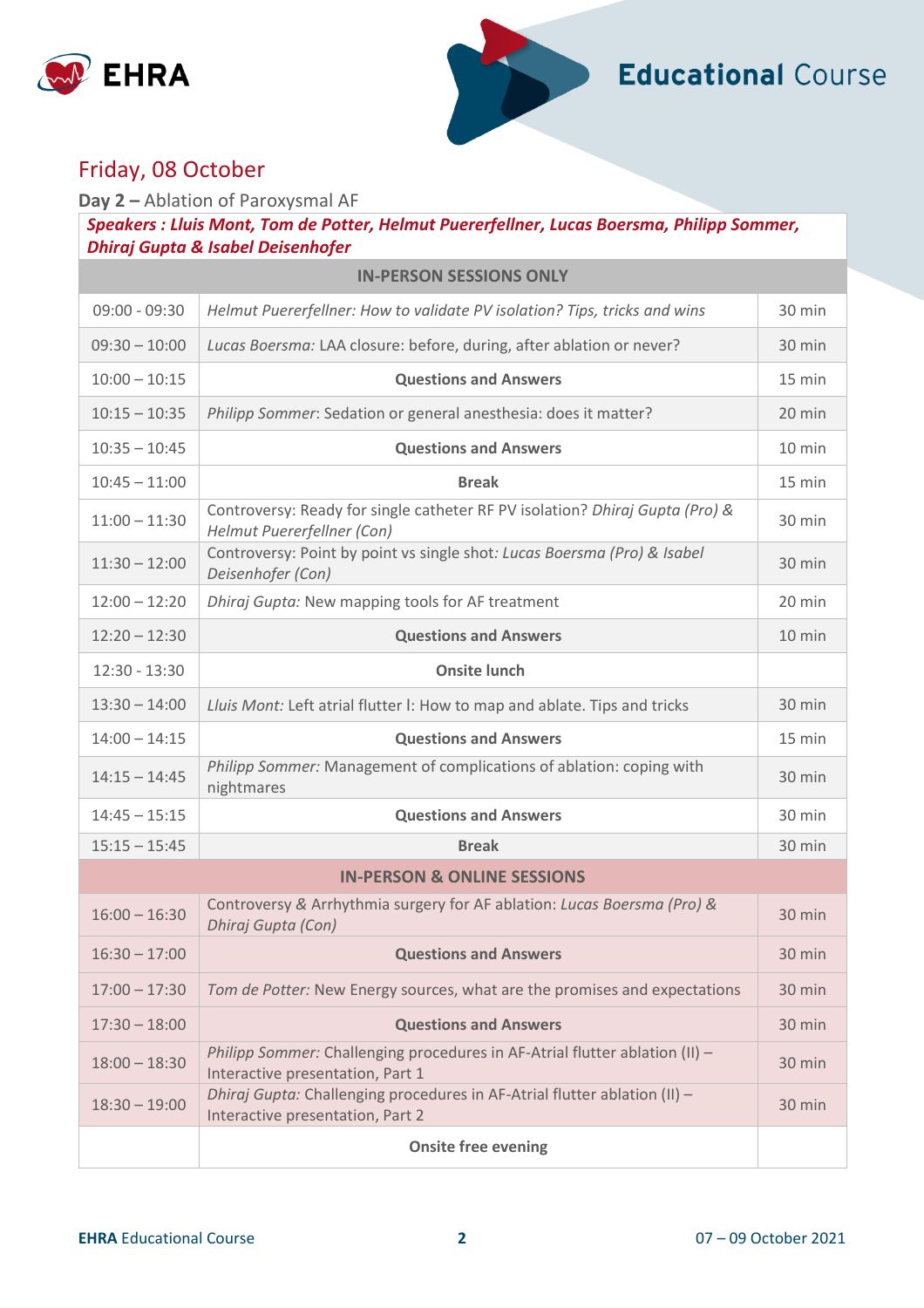



### Friday, 08 October

**Day 2 –** Ablation of Paroxysmal AF

#### *Speakers : Lluis Mont, Tom de Potter, Helmut Puererfellner, Lucas Boersma, Philipp Sommer, Dhiraj Gupta & Isabel Deisenhofer*

| <b>IN-PERSON SESSIONS ONLY</b>         |                                                                                                                 |          |  |
|----------------------------------------|-----------------------------------------------------------------------------------------------------------------|----------|--|
| $09:00 - 09:30$                        | Helmut Puererfellner: How to validate PV isolation? Tips, tricks and wins                                       | 30 min   |  |
| $09:30 - 10:00$                        | Lucas Boersma: LAA closure: before, during, after ablation or never?                                            | 30 min   |  |
| $10:00 - 10:15$                        | <b>Questions and Answers</b>                                                                                    | $15$ min |  |
| $10:15 - 10:35$                        | Philipp Sommer: Sedation or general anesthesia: does it matter?                                                 | 20 min   |  |
| $10:35 - 10:45$                        | <b>Questions and Answers</b>                                                                                    | 10 min   |  |
| $10:45 - 11:00$                        | <b>Break</b>                                                                                                    | 15 min   |  |
| $11:00 - 11:30$                        | Controversy: Ready for single catheter RF PV isolation? Dhiraj Gupta (Pro) &<br>Helmut Puererfellner (Con)      | 30 min   |  |
| $11:30 - 12:00$                        | Controversy: Point by point vs single shot: Lucas Boersma (Pro) & Isabel<br>Deisenhofer (Con)                   | 30 min   |  |
| $12:00 - 12:20$                        | Dhiraj Gupta: New mapping tools for AF treatment                                                                | 20 min   |  |
| $12:20 - 12:30$                        | <b>Questions and Answers</b>                                                                                    | 10 min   |  |
| $12:30 - 13:30$                        | <b>Onsite lunch</b>                                                                                             |          |  |
| $13:30 - 14:00$                        | Lluis Mont: Left atrial flutter I: How to map and ablate. Tips and tricks                                       | 30 min   |  |
| $14:00 - 14:15$                        | <b>Questions and Answers</b>                                                                                    | 15 min   |  |
| $14:15 - 14:45$                        | Philipp Sommer: Management of complications of ablation: coping with<br>nightmares                              | 30 min   |  |
| $14:45 - 15:15$                        | <b>Questions and Answers</b>                                                                                    | 30 min   |  |
| $15:15 - 15:45$                        | <b>Break</b>                                                                                                    | 30 min   |  |
| <b>IN-PERSON &amp; ONLINE SESSIONS</b> |                                                                                                                 |          |  |
| $16:00 - 16:30$                        | Controversy & Arrhythmia surgery for AF ablation: Lucas Boersma (Pro) &<br>Dhiraj Gupta (Con)                   | 30 min   |  |
| $16:30 - 17:00$                        | <b>Questions and Answers</b>                                                                                    | 30 min   |  |
| $17:00 - 17:30$                        | Tom de Potter: New Energy sources, what are the promises and expectations                                       | 30 min   |  |
| $17:30 - 18:00$                        | <b>Questions and Answers</b>                                                                                    | 30 min   |  |
| $18:00 - 18:30$                        | Philipp Sommer: Challenging procedures in AF-Atrial flutter ablation (II) -<br>Interactive presentation, Part 1 | 30 min   |  |
| $18:30 - 19:00$                        | Dhiraj Gupta: Challenging procedures in AF-Atrial flutter ablation (II) -<br>Interactive presentation, Part 2   | 30 min   |  |
|                                        | <b>Onsite free evening</b>                                                                                      |          |  |